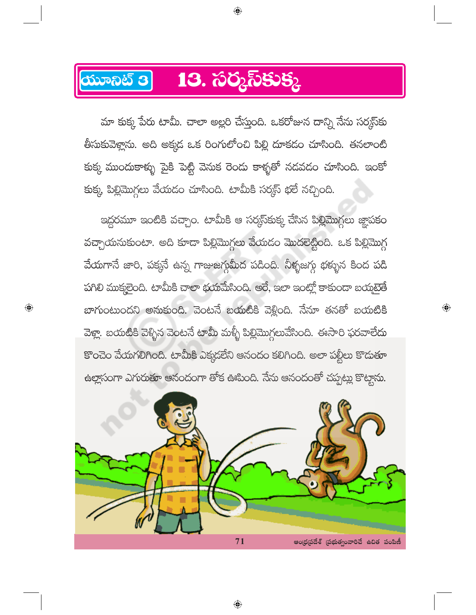## ಯೂನಿಟ್ 3 13. సర్మస్ కుక్క

మా కుక్క పేరు టామీ. చాలా అల్లరి చేస్తుంది. ఒకరోజున దాన్ని నేను సర్కస్**కు** తీసుకువెళ్లాను. అది అక్కడ ఒక రింగులోంచి పిల్లి దూకడం చూసింది. తనలాంటి కుక్క ముందుకాళ్ళు పైకి పెట్టి వెనుక రెందు కాళ్ళతో నడవడం చూసింది. ఇంకో కుక్క పిల్లిమొగ్గలు వేయడం చూసింది. టామీకి సర్మస్ భలే నచ్చింది.

 $\bigoplus$ 

ఇద్దరమూ ఇంటికి వచ్చాం. టామీకి ఆ సర్మస్త్ కు చేసిన పిల్లిమొగ్గలు జ్ఞాపకం వచ్చాయనుకుంటా. అది కూడా పిల్లిమొగ్గలు వేయడం మొదలెట్టింది. ఒక పిల్లిమొగ్గ వేయగానే జారి, పక్కనే ఉన్న గాజుజగ్గుమీద పడింది. నీళ్ళజగ్గు భక్ళున కింద పడి పగిలి ముక్మలైంది. టామీకి చాలా భయమేసింది. అరే, ఇలా ఇంట్లో కాకుండా బయమైతే బాగుంటుందని అనుకుంది. వెంటనే బయటికి వెళ్లింది. నేనూ తనతో బయటికి వెళ్లా. బయటికి వెళ్ళిన వెంటనే టామీ మళ్ళీ పిల్లిమొగ్గలువేసింది. ఈసారి ఫరవాలేదు కొంచెం వేయగలిగింది. టామీకి ఎక్కడలేని ఆనందం కలిగింది. అలా పల్టీలు కొదుతూ ఉల్లాసంగా ఎగురుతూ ఆనందంగా తోక ఊపింది. నేను ఆనందంతో చప్పట్లు కొట్టాను.

 $\bigoplus$ 

 $\bigoplus$ 



 $\bigoplus$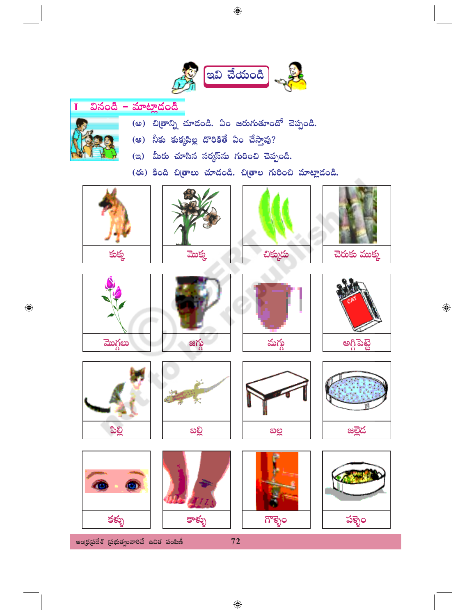

| వినండి | – మాటాదంది |
|--------|------------|
|        |            |

- (అ) చిత్రాన్ని చూడండి. ఏం జరుగుతూందో చెప్పండి.
- (ෂ) నీకు కుక్కపిల్ల దొరికితే ఏం చేస్తావు?
- (ఇ) మీరు చూసిన సర్మస్<sub>ను</sub> గురించి చెప్పండి.

(ఈ) కింది చిత్రాలు చూదండి. చిత్రాల గురించి మాట్లాదండి.









చెరుకు ముక్క



 $\bigoplus$ 







 $\bigoplus$ 





ఆంధ్రప్రదేశ్ (పభుత్వంవారిచే ఉచిత పంపిణీ



కాళ్ళు



ಗೌಕ್ಬెಂ





 $72$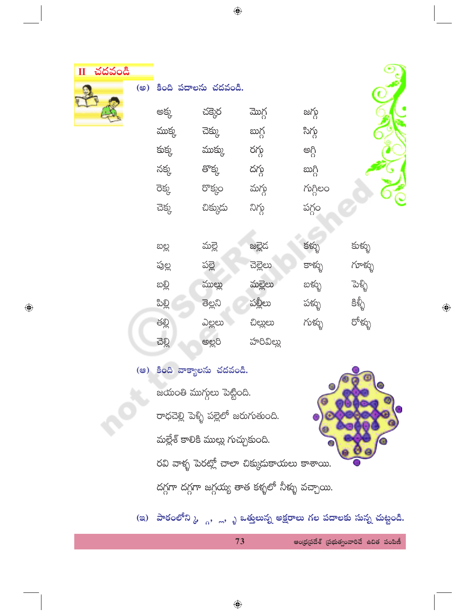చదవండి

 $\bigoplus$ 

|  |        | (అ) కింది పదాలను చదవండి. |           |          |              |
|--|--------|--------------------------|-----------|----------|--------------|
|  | అక్క   | చక్కెర                   | మొగ్గ     | జగ్గ     |              |
|  | ముక్క  | చెక్కు                   | బుగ్గ     | సిగ్గ    |              |
|  | కుక్క  | ముక్కు                   | రగ్గ      | అగ్గి    |              |
|  | నక్క   | తొక్క                    | దగ్గ      | ဃဂ္ဂိ    |              |
|  | రెక్క  | రొక్కం                   | మగ్గ      | గుగ్గిలం |              |
|  | చెక్క  | చిక్కుదు                 | నిగ్గ     | పగ్గం    |              |
|  |        |                          |           |          |              |
|  | ಐಲ್ಲ   | మల్లె                    | జల్లెడ    | కళ్ళు    | కుళ్ళు       |
|  | పుల్ల  | పల్లె                    | చెల్లెలు  | కాళ్ళు   | గూళ్ళు       |
|  | ဆစ္တ   | ముల్లు                   | మల్లెలు   | బళ్ళు    | ಕಾಿ          |
|  | ಪಿಲ್ಲಿ | ತಿಲ್ಲನಿ                  | పల్లీలు   | పక్ళు    | ဇွတ္ပ်<br>ဒီ |
|  | తల్లి  | ఎల్లలు                   | చిల్లులు  | గుళ్ళు   | రోళ్ళు       |
|  | ವ್ಲೊ   | అల్లరి                   | హరివిల్లు |          |              |

(ఆ) కింది వాక్యాలను చదవండి.

జయంతి ముగ్గులు పెట్టింది.

రాధచెల్లి పెళ్ళి పల్లెలో జరుగుతుంది. మల్లేశ్ కాలికి ముల్లు గుచ్చుకుంది.



 $\bigoplus$ 

రవి వాళ్ళ పెరట్లో చాలా చిక్కుదుకాయలు కాశాయి. దగ్గగా దగ్గగా జగ్గయ్య తాత కళ్ళలో నీళ్ళు వచ్చాయి.

(ఇ) పాఠంలోని <sub>ఓ ్ల</sub>, ్ల, ృ ఒత్తులున్న అక్షరాలు గల పదాలకు సున్న చుట్టండి.

ఆంధ్రప్రదేశ్ (పభుత్వంవారిచే ఉచిత పంపిణీ

 $\bigcirc$ 

73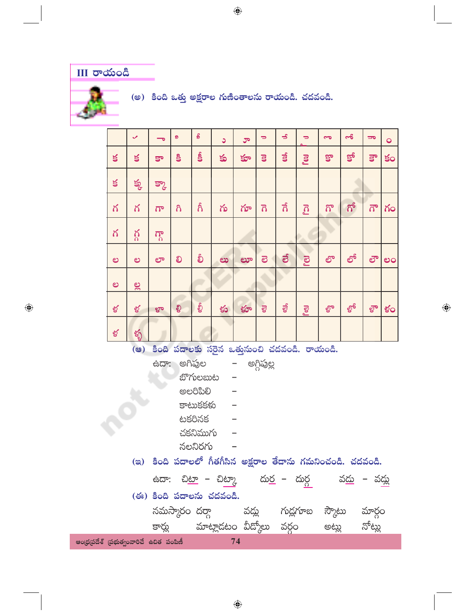## **III** రాయండి

 $\bigoplus$ 

(అ) కింది ఒత్తు అక్షరాల గుణింతాలను రాయండి. చదవండి.

|                                                             |        | ✓           | $\overline{\phantom{0}}$ | ø        | $\pmb{\mathcal{S}}$ | C                                                                                 | ರ್   | $\Rightarrow$           | $\Rightarrow$ | $\Rightarrow$       | 9    | ಹ     | $\overline{\phantom{a}}$ | $\bullet$ |
|-------------------------------------------------------------|--------|-------------|--------------------------|----------|---------------------|-----------------------------------------------------------------------------------|------|-------------------------|---------------|---------------------|------|-------|--------------------------|-----------|
|                                                             | $\leq$ | క           | కా                       | <b>S</b> | န္ခ်                | కు                                                                                | క్తూ | $\overline{\mathbf{s}}$ | $\vec{a}$     | Pol                 | కొ   | క్రో  | క్రా                     | కం        |
|                                                             | $\leq$ | క్క         | క్కా                     |          |                     |                                                                                   |      |                         |               |                     |      |       |                          |           |
|                                                             | గ      | గ           | $\overline{\Omega}$      | $\delta$ | గీ                  | గు                                                                                | గూ   | $\overline{\Omega}$     | ನೆ            | $\overline{\Omega}$ | గొ   | ಗ್    | $\vec{\Omega}^{\circ}$   | గం        |
|                                                             | గ      | గ్గ         | $\Omega$                 |          |                     |                                                                                   |      |                         |               |                     |      |       |                          |           |
|                                                             | ల      | ల           | ಲ್                       | లి       | စ်                  | ಲು                                                                                | ಲಾ   | ම                       | ತ             | <b>Po</b>           | లొ   | లో    | లౌ                       | ಲಂ        |
|                                                             | ಲ      | $rac{3}{6}$ |                          |          |                     |                                                                                   |      |                         |               |                     |      |       |                          |           |
|                                                             | ళ      | ళ           | ಳಾ                       | ಳಿ       | စ္ခ်                | కు                                                                                | క్టూ | $\overline{g}$          | ಕೃ            | PœI                 | ళ్రొ | ల్ధోం | ಳೌ                       | ళం        |
|                                                             | ళ      | ళ్ళ         |                          |          |                     |                                                                                   |      |                         |               |                     |      |       |                          |           |
| కింది పదాలకు సరైన ఒత్తునుంచి చదవండి. రాయండి.<br>(ಅ)         |        |             |                          |          |                     |                                                                                   |      |                         |               |                     |      |       |                          |           |
| ఉదా: అగిపుల<br>– అగ్గిపుల్ల                                 |        |             |                          |          |                     |                                                                                   |      |                         |               |                     |      |       |                          |           |
|                                                             |        |             |                          |          | బొగులబుట            |                                                                                   |      |                         |               |                     |      |       |                          |           |
|                                                             |        |             |                          |          | ಅಲರಿಪಿಲಿ            |                                                                                   |      |                         |               |                     |      |       |                          |           |
|                                                             |        |             |                          |          | కాటుకకళు            |                                                                                   |      |                         |               |                     |      |       |                          |           |
|                                                             |        |             |                          |          | టకరినక              |                                                                                   |      |                         |               |                     |      |       |                          |           |
| చకనిముగు                                                    |        |             |                          |          |                     |                                                                                   |      |                         |               |                     |      |       |                          |           |
| నలనిరగు                                                     |        |             |                          |          |                     |                                                                                   |      |                         |               |                     |      |       |                          |           |
| (ఇ) కింది పదాలలో గీతగీసిన అక్షరాల తేదాను గమనించండి. చదవండి. |        |             |                          |          |                     |                                                                                   |      |                         |               |                     |      |       |                          |           |
|                                                             |        |             |                          |          |                     |                                                                                   |      |                         |               |                     |      |       |                          |           |
|                                                             |        |             |                          |          |                     | ఉదా: చి <u>టా</u> – చి <u>ట్కా</u> దు <u>ర</u> – దుర్గ     వద్దు – వ <u>ద్</u> దు |      |                         |               |                     |      |       |                          |           |
|                                                             |        |             |                          |          |                     | (ఈ) కింది పదాలను చదవండి.                                                          |      |                         |               |                     |      |       |                          |           |
|                                                             |        |             |                          |          |                     | నమస్కారం దర్గా - వద్లు - గుడ్లగూబ స్కౌటు మార్గం                                   |      |                         |               |                     |      |       |                          |           |
|                                                             |        |             |                          |          |                     | కార్లు - మాట్లాడటం వీద్కోలు వర్గం - అట్లు                                         |      |                         |               |                     |      |       | నోట్లు                   |           |
| ఆంధ్రప్రదేశ్ (పభుత్వంవారిచే ఉచిత పంపిణీ                     |        |             |                          |          |                     |                                                                                   | 74   |                         |               |                     |      |       |                          |           |

 $\bigoplus$